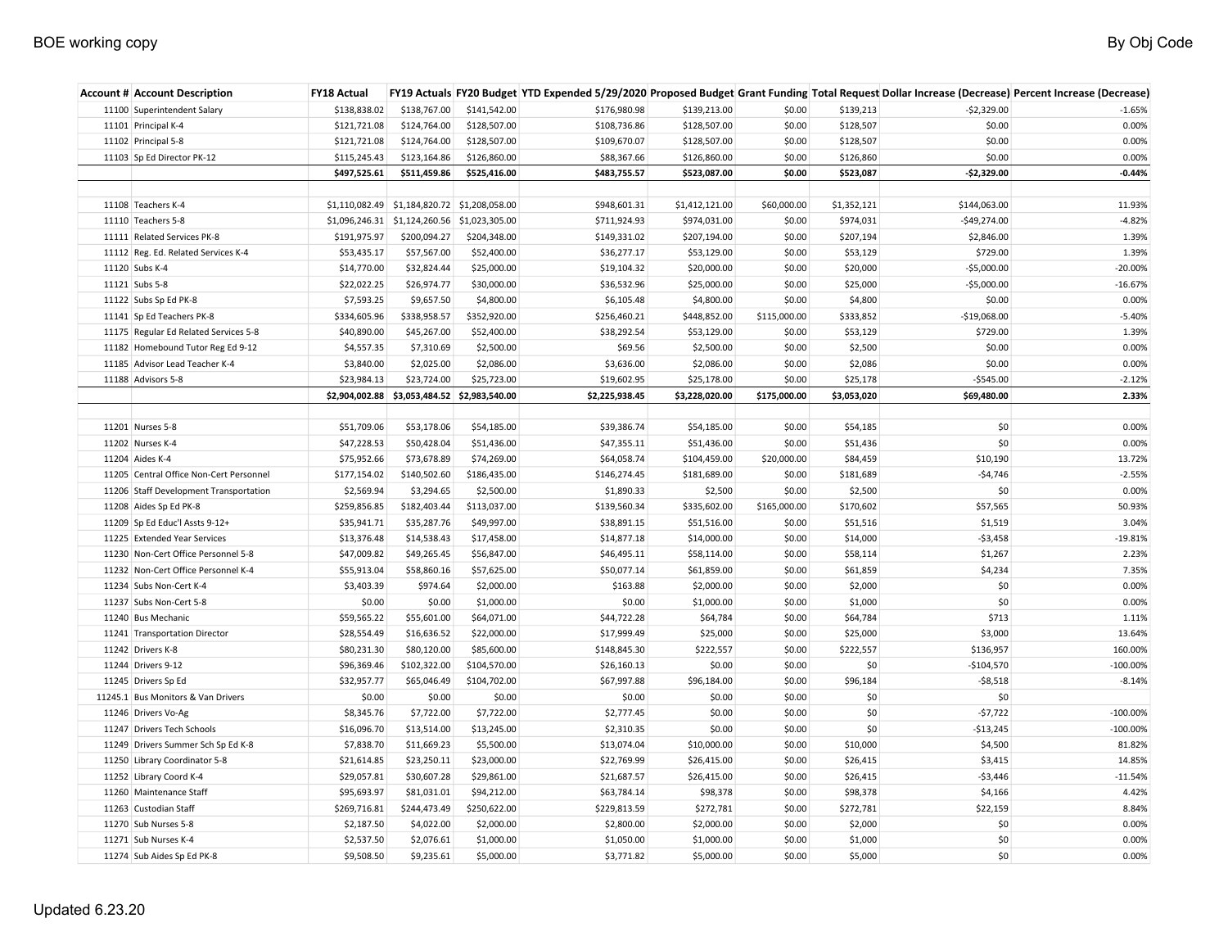| <b>Account # Account Description</b>    | FY18 Actual    |                                              |                               |                |                |              |             |               | FY19 Actuals FY20 Budget YTD Expended 5/29/2020 Proposed Budget Grant Funding Total Request Dollar Increase (Decrease) Percent Increase (Decrease) |
|-----------------------------------------|----------------|----------------------------------------------|-------------------------------|----------------|----------------|--------------|-------------|---------------|----------------------------------------------------------------------------------------------------------------------------------------------------|
| 11100 Superintendent Salary             | \$138,838.02   | \$138,767.00                                 | \$141,542.00                  | \$176,980.98   | \$139,213.00   | \$0.00       | \$139,213   | $-52,329.00$  | $-1.65%$                                                                                                                                           |
| 11101 Principal K-4                     | \$121,721.08   | \$124,764.00                                 | \$128,507.00                  | \$108,736.86   | \$128,507.00   | \$0.00       | \$128,507   | \$0.00        | 0.00%                                                                                                                                              |
| 11102 Principal 5-8                     | \$121,721.08   | \$124,764.00                                 | \$128,507.00                  | \$109,670.07   | \$128,507.00   | \$0.00       | \$128,507   | \$0.00        | 0.00%                                                                                                                                              |
| 11103 Sp Ed Director PK-12              | \$115,245.43   | \$123,164.86                                 | \$126,860.00                  | \$88,367.66    | \$126,860.00   | \$0.00       | \$126,860   | \$0.00        | 0.00%                                                                                                                                              |
|                                         | \$497,525.61   | \$511,459.86                                 | \$525,416.00                  | \$483,755.57   | \$523,087.00   | \$0.00       | \$523,087   | $-$2,329.00$  | $-0.44%$                                                                                                                                           |
|                                         |                |                                              |                               |                |                |              |             |               |                                                                                                                                                    |
| 11108 Teachers K-4                      |                | \$1,110,082.49 \$1,184,820.72 \$1,208,058.00 |                               | \$948,601.31   | \$1,412,121.00 | \$60,000.00  | \$1,352,121 | \$144,063.00  | 11.93%                                                                                                                                             |
| 11110 Teachers 5-8                      |                | \$1,096,246.31 \$1,124,260.56                | \$1,023,305.00                | \$711,924.93   | \$974,031.00   | \$0.00       | \$974,031   | $-$49,274.00$ | $-4.82%$                                                                                                                                           |
| 11111 Related Services PK-8             | \$191,975.97   | \$200,094.27                                 | \$204,348.00                  | \$149,331.02   | \$207,194.00   | \$0.00       | \$207,194   | \$2,846.00    | 1.39%                                                                                                                                              |
| 11112 Reg. Ed. Related Services K-4     | \$53,435.17    | \$57,567.00                                  | \$52,400.00                   | \$36,277.17    | \$53,129.00    | \$0.00       | \$53,129    | \$729.00      | 1.39%                                                                                                                                              |
| 11120 Subs K-4                          | \$14,770.00    | \$32,824.44                                  | \$25,000.00                   | \$19,104.32    | \$20,000.00    | \$0.00       | \$20,000    | $-$5,000.00$  | $-20.00%$                                                                                                                                          |
| 11121 Subs 5-8                          | \$22,022.25    | \$26,974.77                                  | \$30,000.00                   | \$36,532.96    | \$25,000.00    | \$0.00       | \$25,000    | $-$5,000.00$  | $-16.67%$                                                                                                                                          |
| 11122 Subs Sp Ed PK-8                   | \$7,593.25     | \$9,657.50                                   | \$4,800.00                    | \$6,105.48     | \$4,800.00     | \$0.00       | \$4,800     | \$0.00        | 0.00%                                                                                                                                              |
| 11141 Sp Ed Teachers PK-8               | \$334,605.96   | \$338,958.57                                 | \$352,920.00                  | \$256,460.21   | \$448,852.00   | \$115,000.00 | \$333,852   | $-$19,068.00$ | $-5.40%$                                                                                                                                           |
| 11175 Regular Ed Related Services 5-8   | \$40,890.00    | \$45,267.00                                  | \$52,400.00                   | \$38,292.54    | \$53,129.00    | \$0.00       | \$53,129    | \$729.00      | 1.39%                                                                                                                                              |
| 11182 Homebound Tutor Reg Ed 9-12       | \$4,557.35     | \$7,310.69                                   | \$2,500.00                    | \$69.56        | \$2,500.00     | \$0.00       | \$2,500     | \$0.00        | 0.00%                                                                                                                                              |
| 11185 Advisor Lead Teacher K-4          | \$3,840.00     | \$2,025.00                                   | \$2,086.00                    | \$3,636.00     | \$2,086.00     | \$0.00       | \$2,086     | \$0.00        | 0.00%                                                                                                                                              |
| 11188 Advisors 5-8                      | \$23,984.13    | \$23,724.00                                  | \$25,723.00                   | \$19,602.95    | \$25,178.00    | \$0.00       | \$25,178    | $-$545.00$    | $-2.12%$                                                                                                                                           |
|                                         | \$2,904,002.88 |                                              | \$3,053,484.52 \$2,983,540.00 | \$2,225,938.45 | \$3,228,020.00 | \$175,000.00 | \$3,053,020 | \$69,480.00   | 2.33%                                                                                                                                              |
|                                         |                |                                              |                               |                |                |              |             |               |                                                                                                                                                    |
| 11201 Nurses 5-8                        | \$51,709.06    | \$53,178.06                                  | \$54,185.00                   | \$39,386.74    | \$54,185.00    | \$0.00       | \$54,185    | \$0           | 0.00%                                                                                                                                              |
| 11202 Nurses K-4                        | \$47,228.53    | \$50,428.04                                  | \$51,436.00                   | \$47,355.11    | \$51,436.00    | \$0.00       | \$51,436    | \$0           | 0.00%                                                                                                                                              |
| 11204 Aides K-4                         | \$75,952.66    | \$73,678.89                                  | \$74,269.00                   | \$64,058.74    | \$104,459.00   | \$20,000.00  | \$84,459    | \$10,190      | 13.72%                                                                                                                                             |
| 11205 Central Office Non-Cert Personnel | \$177,154.02   | \$140,502.60                                 | \$186,435.00                  | \$146,274.45   | \$181,689.00   | \$0.00       | \$181,689   | $-54,746$     | $-2.55%$                                                                                                                                           |
| 11206 Staff Development Transportation  | \$2,569.94     | \$3,294.65                                   | \$2,500.00                    | \$1,890.33     | \$2,500        | \$0.00       | \$2,500     | \$0           | 0.00%                                                                                                                                              |
| 11208 Aides Sp Ed PK-8                  | \$259,856.85   | \$182,403.44                                 | \$113,037.00                  | \$139,560.34   | \$335,602.00   | \$165,000.00 | \$170,602   | \$57,565      | 50.93%                                                                                                                                             |
| 11209 Sp Ed Educ'l Assts 9-12+          | \$35,941.71    | \$35,287.76                                  | \$49,997.00                   | \$38,891.15    | \$51,516.00    | \$0.00       | \$51,516    | \$1,519       | 3.04%                                                                                                                                              |
| 11225 Extended Year Services            | \$13,376.48    | \$14,538.43                                  | \$17,458.00                   | \$14,877.18    | \$14,000.00    | \$0.00       | \$14,000    | $-53,458$     | $-19.81%$                                                                                                                                          |
| 11230 Non-Cert Office Personnel 5-8     | \$47,009.82    | \$49,265.45                                  | \$56,847.00                   | \$46,495.11    | \$58,114.00    | \$0.00       | \$58,114    | \$1,267       | 2.23%                                                                                                                                              |
| 11232 Non-Cert Office Personnel K-4     | \$55,913.04    | \$58,860.16                                  | \$57,625.00                   | \$50,077.14    | \$61,859.00    | \$0.00       | \$61,859    | \$4,234       | 7.35%                                                                                                                                              |
| 11234 Subs Non-Cert K-4                 | \$3,403.39     | \$974.64                                     | \$2,000.00                    | \$163.88       | \$2,000.00     | \$0.00       | \$2,000     | \$0           | 0.00%                                                                                                                                              |
| 11237 Subs Non-Cert 5-8                 | \$0.00         | \$0.00                                       | \$1,000.00                    | \$0.00         | \$1,000.00     | \$0.00       | \$1,000     | \$0           | 0.00%                                                                                                                                              |
| 11240 Bus Mechanic                      | \$59,565.22    | \$55,601.00                                  | \$64,071.00                   | \$44,722.28    | \$64,784       | \$0.00       | \$64,784    | \$713         | 1.11%                                                                                                                                              |
| 11241 Transportation Director           | \$28,554.49    | \$16,636.52                                  | \$22,000.00                   | \$17,999.49    | \$25,000       | \$0.00       | \$25,000    | \$3,000       | 13.64%                                                                                                                                             |
| 11242 Drivers K-8                       | \$80,231.30    | \$80,120.00                                  | \$85,600.00                   | \$148,845.30   | \$222,557      | \$0.00       | \$222,557   | \$136,957     | 160.00%                                                                                                                                            |
| 11244 Drivers 9-12                      | \$96,369.46    | \$102,322.00                                 | \$104,570.00                  | \$26,160.13    | \$0.00         | \$0.00       | \$0         | $-$104,570$   | $-100.00\%$                                                                                                                                        |
| 11245 Drivers Sp Ed                     | \$32,957.77    | \$65,046.49                                  | \$104,702.00                  | \$67,997.88    | \$96,184.00    | \$0.00       | \$96,184    | $-58,518$     | $-8.14%$                                                                                                                                           |
| 11245.1 Bus Monitors & Van Drivers      | \$0.00         | \$0.00                                       | \$0.00                        | \$0.00         | \$0.00         | \$0.00       | \$0         | \$0           |                                                                                                                                                    |
| 11246 Drivers Vo-Ag                     | \$8,345.76     | \$7,722.00                                   | \$7,722.00                    | \$2,777.45     | \$0.00         | \$0.00       | \$0         | $-57,722$     | $-100.00\%$                                                                                                                                        |
| 11247 Drivers Tech Schools              | \$16,096.70    | \$13,514.00                                  | \$13,245.00                   | \$2,310.35     | \$0.00         | \$0.00       | \$0         | $-$13,245$    | $-100.00%$                                                                                                                                         |
| 11249 Drivers Summer Sch Sp Ed K-8      | \$7,838.70     | \$11,669.23                                  | \$5,500.00                    | \$13,074.04    | \$10,000.00    | \$0.00       | \$10,000    | \$4,500       | 81.82%                                                                                                                                             |
| 11250 Library Coordinator 5-8           | \$21,614.85    | \$23,250.11                                  | \$23,000.00                   | \$22,769.99    | \$26,415.00    | \$0.00       | \$26,415    | \$3,415       | 14.85%                                                                                                                                             |
| 11252 Library Coord K-4                 | \$29,057.81    | \$30,607.28                                  | \$29,861.00                   | \$21,687.57    | \$26,415.00    | \$0.00       | \$26,415    | $-53,446$     | $-11.54%$                                                                                                                                          |
| 11260 Maintenance Staff                 | \$95,693.97    | \$81,031.01                                  | \$94,212.00                   | \$63,784.14    | \$98,378       | \$0.00       | \$98,378    | \$4,166       | 4.42%                                                                                                                                              |
| 11263 Custodian Staff                   | \$269,716.81   | \$244,473.49                                 | \$250,622.00                  | \$229,813.59   | \$272,781      | \$0.00       | \$272,781   | \$22,159      | 8.84%                                                                                                                                              |
| 11270 Sub Nurses 5-8                    | \$2,187.50     | \$4,022.00                                   | \$2,000.00                    | \$2,800.00     | \$2,000.00     | \$0.00       | \$2,000     | \$0           | 0.00%                                                                                                                                              |
| 11271 Sub Nurses K-4                    | \$2,537.50     | \$2,076.61                                   | \$1,000.00                    | \$1,050.00     | \$1,000.00     | \$0.00       | \$1,000     | \$0           | 0.00%                                                                                                                                              |
| 11274 Sub Aides Sp Ed PK-8              | \$9,508.50     | \$9,235.61                                   | \$5,000.00                    | \$3,771.82     | \$5,000.00     | \$0.00       | \$5,000     | \$0           | 0.00%                                                                                                                                              |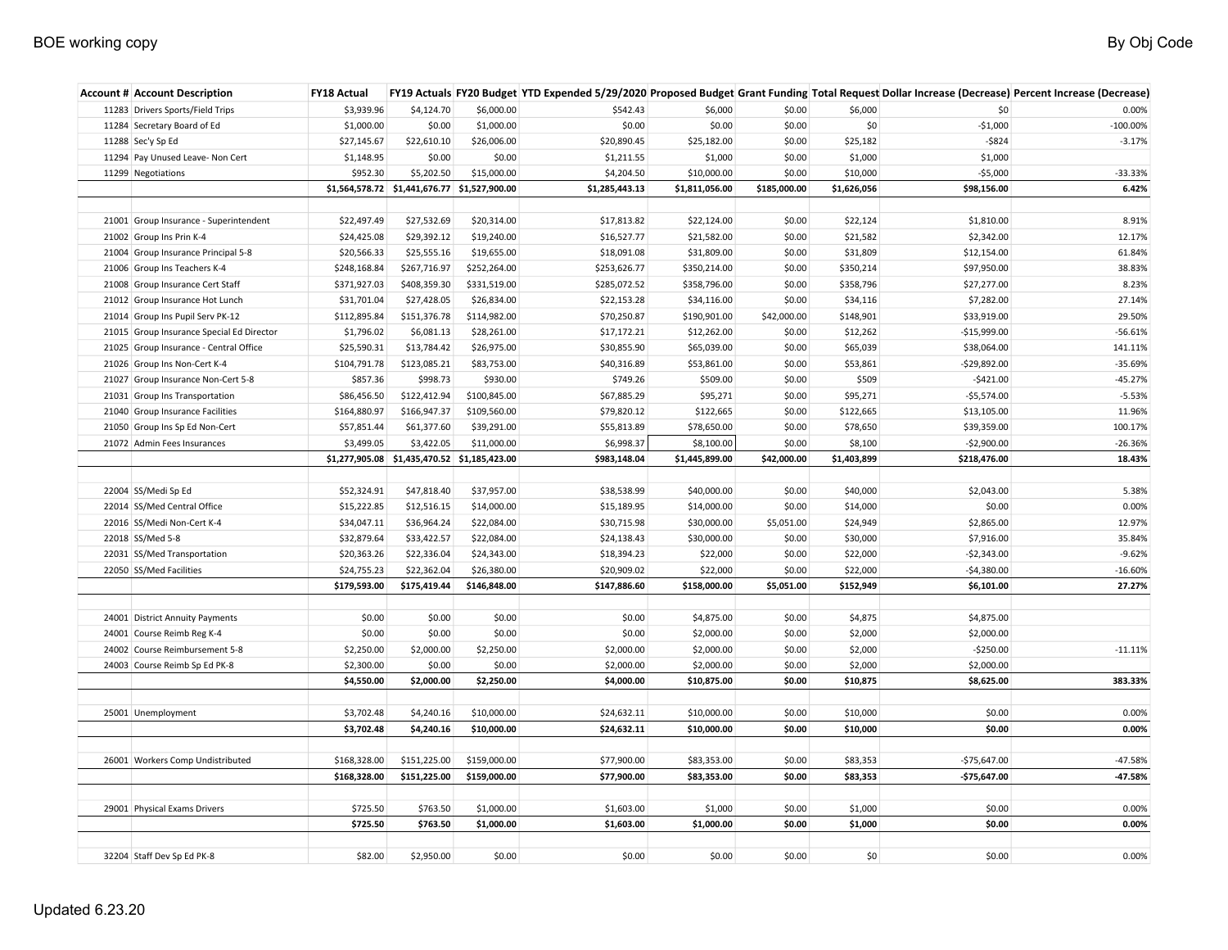| <b>Account # Account Description</b>      | <b>FY18 Actual</b> |                                              |              |                |                |              |             |               | FY19 Actuals FY20 Budget YTD Expended 5/29/2020 Proposed Budget Grant Funding Total Request Dollar Increase (Decrease) Percent Increase (Decrease) |
|-------------------------------------------|--------------------|----------------------------------------------|--------------|----------------|----------------|--------------|-------------|---------------|----------------------------------------------------------------------------------------------------------------------------------------------------|
| 11283 Drivers Sports/Field Trips          | \$3,939.96         | \$4,124.70                                   | \$6,000.00   | \$542.43       | \$6,000        | \$0.00       | \$6,000     | \$0           | 0.00%                                                                                                                                              |
| 11284 Secretary Board of Ed               | \$1,000.00         | \$0.00                                       | \$1,000.00   | \$0.00         | \$0.00         | \$0.00       | \$0         | $-$1,000$     | $-100.00\%$                                                                                                                                        |
| 11288 Sec'y Sp Ed                         | \$27,145.67        | \$22,610.10                                  | \$26,006.00  | \$20,890.45    | \$25,182.00    | \$0.00       | \$25,182    | $-5824$       | $-3.17%$                                                                                                                                           |
| 11294 Pay Unused Leave- Non Cert          | \$1,148.95         | \$0.00                                       | \$0.00       | \$1,211.55     | \$1,000        | \$0.00       | \$1,000     | \$1,000       |                                                                                                                                                    |
| 11299 Negotiations                        | \$952.30           | \$5,202.50                                   | \$15,000.00  | \$4,204.50     | \$10,000.00    | \$0.00       | \$10,000    | $-$5,000$     | -33.33%                                                                                                                                            |
|                                           |                    | \$1,564,578.72 \$1,441,676.77 \$1,527,900.00 |              | \$1,285,443.13 | \$1,811,056.00 | \$185,000.00 | \$1,626,056 | \$98,156.00   | 6.42%                                                                                                                                              |
|                                           |                    |                                              |              |                |                |              |             |               |                                                                                                                                                    |
| 21001 Group Insurance - Superintendent    | \$22,497.49        | \$27,532.69                                  | \$20,314.00  | \$17,813.82    | \$22,124.00    | \$0.00       | \$22,124    | \$1,810.00    | 8.91%                                                                                                                                              |
| 21002 Group Ins Prin K-4                  | \$24,425.08        | \$29,392.12                                  | \$19,240.00  | \$16,527.77    | \$21,582.00    | \$0.00       | \$21,582    | \$2,342.00    | 12.17%                                                                                                                                             |
| 21004 Group Insurance Principal 5-8       | \$20,566.33        | \$25,555.16                                  | \$19,655.00  | \$18,091.08    | \$31,809.00    | \$0.00       | \$31,809    | \$12,154.00   | 61.84%                                                                                                                                             |
| 21006 Group Ins Teachers K-4              | \$248,168.84       | \$267,716.97                                 | \$252,264.00 | \$253,626.77   | \$350,214.00   | \$0.00       | \$350,214   | \$97,950.00   | 38.83%                                                                                                                                             |
| 21008 Group Insurance Cert Staff          | \$371,927.03       | \$408,359.30                                 | \$331,519.00 | \$285,072.52   | \$358,796.00   | \$0.00       | \$358,796   | \$27,277.00   | 8.23%                                                                                                                                              |
| 21012 Group Insurance Hot Lunch           | \$31,701.04        | \$27,428.05                                  | \$26,834.00  | \$22,153.28    | \$34,116.00    | \$0.00       | \$34,116    | \$7,282.00    | 27.14%                                                                                                                                             |
| 21014 Group Ins Pupil Serv PK-12          | \$112,895.84       | \$151,376.78                                 | \$114,982.00 | \$70,250.87    | \$190,901.00   | \$42,000.00  | \$148,901   | \$33,919.00   | 29.50%                                                                                                                                             |
| 21015 Group Insurance Special Ed Director | \$1,796.02         | \$6,081.13                                   | \$28,261.00  | \$17,172.21    | \$12,262.00    | \$0.00       | \$12,262    | $-$15,999.00$ | $-56.61%$                                                                                                                                          |
| 21025 Group Insurance - Central Office    | \$25,590.31        | \$13,784.42                                  | \$26,975.00  | \$30,855.90    | \$65,039.00    | \$0.00       | \$65,039    | \$38,064.00   | 141.11%                                                                                                                                            |
| 21026 Group Ins Non-Cert K-4              | \$104,791.78       | \$123,085.21                                 | \$83,753.00  | \$40,316.89    | \$53,861.00    | \$0.00       | \$53,861    | $-$29,892.00$ | $-35.69%$                                                                                                                                          |
| 21027 Group Insurance Non-Cert 5-8        | \$857.36           | \$998.73                                     | \$930.00     | \$749.26       | \$509.00       | \$0.00       | \$509       | $-$421.00$    | $-45.27%$                                                                                                                                          |
| 21031 Group Ins Transportation            | \$86,456.50        | \$122,412.94                                 | \$100,845.00 | \$67,885.29    | \$95,271       | \$0.00       | \$95,271    | $-$5,574.00$  | $-5.53%$                                                                                                                                           |
| 21040 Group Insurance Facilities          | \$164,880.97       | \$166,947.37                                 | \$109,560.00 | \$79,820.12    | \$122,665      | \$0.00       | \$122,665   | \$13,105.00   | 11.96%                                                                                                                                             |
| 21050 Group Ins Sp Ed Non-Cert            | \$57,851.44        | \$61,377.60                                  | \$39,291.00  | \$55,813.89    | \$78,650.00    | \$0.00       | \$78,650    | \$39,359.00   | 100.17%                                                                                                                                            |
| 21072 Admin Fees Insurances               | \$3,499.05         | \$3,422.05                                   | \$11,000.00  | \$6,998.37     | \$8,100.00     | \$0.00       | \$8,100     | $-52,900.00$  | $-26.36%$                                                                                                                                          |
|                                           |                    | \$1,277,905.08 \$1,435,470.52 \$1,185,423.00 |              | \$983,148.04   | \$1,445,899.00 | \$42,000.00  | \$1,403,899 | \$218,476.00  | 18.43%                                                                                                                                             |
|                                           |                    |                                              |              |                |                |              |             |               |                                                                                                                                                    |
| 22004 SS/Medi Sp Ed                       | \$52,324.91        | \$47,818.40                                  | \$37,957.00  | \$38,538.99    | \$40,000.00    | \$0.00       | \$40,000    | \$2,043.00    | 5.38%                                                                                                                                              |
| 22014 SS/Med Central Office               | \$15,222.85        | \$12,516.15                                  | \$14,000.00  | \$15,189.95    | \$14,000.00    | \$0.00       | \$14,000    | \$0.00        | 0.00%                                                                                                                                              |
| 22016 SS/Medi Non-Cert K-4                | \$34,047.11        | \$36,964.24                                  | \$22,084.00  | \$30,715.98    | \$30,000.00    | \$5,051.00   | \$24,949    | \$2,865.00    | 12.97%                                                                                                                                             |
| 22018 SS/Med 5-8                          | \$32,879.64        | \$33,422.57                                  | \$22,084.00  | \$24,138.43    | \$30,000.00    | \$0.00       | \$30,000    | \$7,916.00    | 35.84%                                                                                                                                             |
| 22031 SS/Med Transportation               | \$20,363.26        | \$22,336.04                                  | \$24,343.00  | \$18,394.23    | \$22,000       | \$0.00       | \$22,000    | $-$2,343.00$  | $-9.62%$                                                                                                                                           |
| 22050 SS/Med Facilities                   | \$24,755.23        | \$22,362.04                                  | \$26,380.00  | \$20,909.02    | \$22,000       | \$0.00       | \$22,000    | $-$4,380.00$  | $-16.60%$                                                                                                                                          |
|                                           | \$179,593.00       | \$175,419.44                                 | \$146,848.00 | \$147,886.60   | \$158,000.00   | \$5,051.00   | \$152,949   | \$6,101.00    | 27.27%                                                                                                                                             |
|                                           |                    |                                              |              |                |                |              |             |               |                                                                                                                                                    |
| 24001 District Annuity Payments           | \$0.00             | \$0.00                                       | \$0.00       | \$0.00         | \$4,875.00     | \$0.00       | \$4,875     | \$4,875.00    |                                                                                                                                                    |
| 24001 Course Reimb Reg K-4                | \$0.00             | \$0.00                                       | \$0.00       | \$0.00         | \$2,000.00     | \$0.00       | \$2,000     | \$2,000.00    |                                                                                                                                                    |
| 24002 Course Reimbursement 5-8            | \$2,250.00         | \$2,000.00                                   | \$2,250.00   | \$2,000.00     | \$2,000.00     | \$0.00       | \$2,000     | $-$250.00$    | $-11.11%$                                                                                                                                          |
| 24003 Course Reimb Sp Ed PK-8             | \$2,300.00         | \$0.00                                       | \$0.00       | \$2,000.00     | \$2,000.00     | \$0.00       | \$2,000     | \$2,000.00    |                                                                                                                                                    |
|                                           | \$4,550.00         | \$2,000.00                                   | \$2,250.00   | \$4,000.00     | \$10,875.00    | \$0.00       | \$10,875    | \$8,625.00    | 383.33%                                                                                                                                            |
|                                           |                    |                                              |              |                |                |              |             |               |                                                                                                                                                    |
| 25001 Unemployment                        | \$3,702.48         | \$4,240.16                                   | \$10,000.00  | \$24,632.11    | \$10,000.00    | \$0.00       | \$10,000    | \$0.00        | 0.00%                                                                                                                                              |
|                                           | \$3,702.48         | \$4,240.16                                   | \$10,000.00  | \$24,632.11    | \$10,000.00    | \$0.00       | \$10,000    | \$0.00        | 0.00%                                                                                                                                              |
|                                           |                    |                                              |              |                |                |              |             |               |                                                                                                                                                    |
| 26001 Workers Comp Undistributed          | \$168,328.00       | \$151,225.00                                 | \$159,000.00 | \$77,900.00    | \$83,353.00    | \$0.00       | \$83,353    | $-$75,647.00$ | $-47.58%$                                                                                                                                          |
|                                           | \$168,328.00       | \$151,225.00                                 | \$159,000.00 | \$77,900.00    | \$83,353.00    | \$0.00       | \$83,353    | $-$75,647.00$ | $-47.58%$                                                                                                                                          |
|                                           |                    |                                              |              |                |                |              |             |               |                                                                                                                                                    |
| 29001 Physical Exams Drivers              | \$725.50           | \$763.50                                     | \$1,000.00   | \$1,603.00     | \$1,000        | \$0.00       | \$1,000     | \$0.00        | 0.00%                                                                                                                                              |
|                                           | \$725.50           | \$763.50                                     | \$1,000.00   | \$1,603.00     | \$1,000.00     | \$0.00       | \$1,000     | \$0.00        | 0.00%                                                                                                                                              |
|                                           |                    |                                              |              |                |                |              |             |               |                                                                                                                                                    |
| 32204 Staff Dev Sp Ed PK-8                | \$82.00            | \$2,950.00                                   | \$0.00       | \$0.00         | \$0.00         | \$0.00       | \$0         | \$0.00        | 0.00%                                                                                                                                              |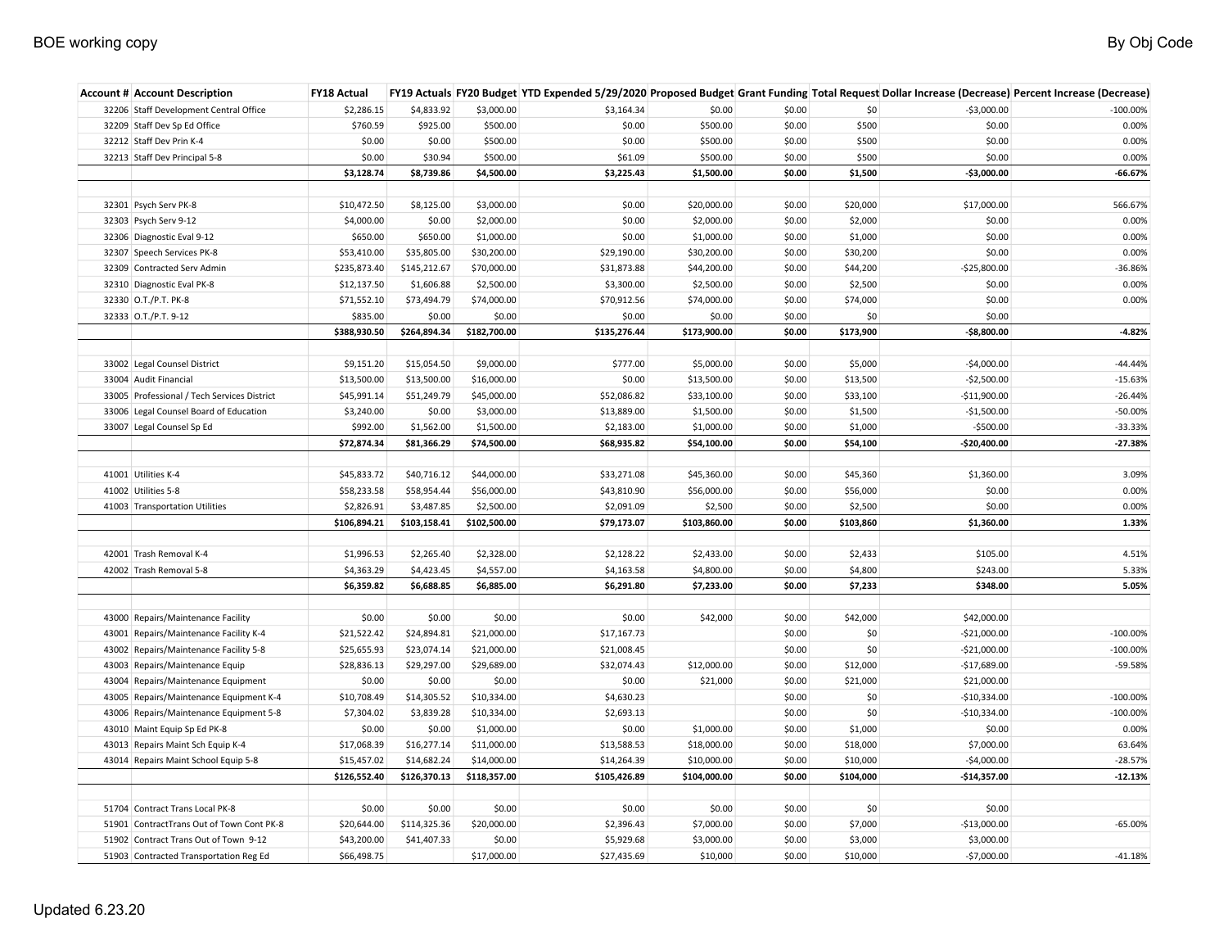| <b>Account # Account Description</b>        | <b>FY18 Actual</b> |              |              |              |              |        |           |               | FY19 Actuals FY20 Budget YTD Expended 5/29/2020 Proposed Budget Grant Funding Total Request Dollar Increase (Decrease) Percent Increase (Decrease) |
|---------------------------------------------|--------------------|--------------|--------------|--------------|--------------|--------|-----------|---------------|----------------------------------------------------------------------------------------------------------------------------------------------------|
| 32206 Staff Development Central Office      | \$2,286.15         | \$4,833.92   | \$3,000.00   | \$3,164.34   | \$0.00       | \$0.00 | \$0       | $-53,000.00$  | $-100.00\%$                                                                                                                                        |
| 32209 Staff Dev Sp Ed Office                | \$760.59           | \$925.00     | \$500.00     | \$0.00       | \$500.00     | \$0.00 | \$500     | \$0.00        | 0.00%                                                                                                                                              |
| 32212 Staff Dev Prin K-4                    | \$0.00             | \$0.00       | \$500.00     | \$0.00       | \$500.00     | \$0.00 | \$500     | \$0.00        | 0.00%                                                                                                                                              |
| 32213 Staff Dev Principal 5-8               | \$0.00             | \$30.94      | \$500.00     | \$61.09      | \$500.00     | \$0.00 | \$500     | \$0.00        | 0.00%                                                                                                                                              |
|                                             | \$3,128.74         | \$8,739.86   | \$4,500.00   | \$3,225.43   | \$1,500.00   | \$0.00 | \$1,500   | $-$3,000.00$  | $-66.67%$                                                                                                                                          |
|                                             |                    |              |              |              |              |        |           |               |                                                                                                                                                    |
| 32301 Psych Serv PK-8                       | \$10,472.50        | \$8,125.00   | \$3,000.00   | \$0.00       | \$20,000.00  | \$0.00 | \$20,000  | \$17,000.00   | 566.67%                                                                                                                                            |
| 32303 Psych Serv 9-12                       | \$4,000.00         | \$0.00       | \$2,000.00   | \$0.00       | \$2,000.00   | \$0.00 | \$2,000   | \$0.00        | 0.00%                                                                                                                                              |
| 32306 Diagnostic Eval 9-12                  | \$650.00           | \$650.00     | \$1,000.00   | \$0.00       | \$1,000.00   | \$0.00 | \$1,000   | \$0.00        | 0.00%                                                                                                                                              |
| 32307 Speech Services PK-8                  | \$53,410.00        | \$35,805.00  | \$30,200.00  | \$29,190.00  | \$30,200.00  | \$0.00 | \$30,200  | \$0.00        | 0.00%                                                                                                                                              |
| 32309 Contracted Serv Admin                 | \$235,873.40       | \$145,212.67 | \$70,000.00  | \$31,873.88  | \$44,200.00  | \$0.00 | \$44,200  | $-$25,800.00$ | -36.86%                                                                                                                                            |
| 32310 Diagnostic Eval PK-8                  | \$12,137.50        | \$1,606.88   | \$2,500.00   | \$3,300.00   | \$2,500.00   | \$0.00 | \$2,500   | \$0.00        | 0.00%                                                                                                                                              |
| 32330 O.T./P.T. PK-8                        | \$71,552.10        | \$73,494.79  | \$74,000.00  | \$70,912.56  | \$74,000.00  | \$0.00 | \$74,000  | \$0.00        | 0.00%                                                                                                                                              |
| 32333 O.T./P.T. 9-12                        | \$835.00           | \$0.00       | \$0.00       | \$0.00       | \$0.00       | \$0.00 | \$0       | \$0.00        |                                                                                                                                                    |
|                                             | \$388,930.50       | \$264,894.34 | \$182,700.00 | \$135,276.44 | \$173,900.00 | \$0.00 | \$173,900 | $-$8,800.00$  | $-4.82%$                                                                                                                                           |
|                                             |                    |              |              |              |              |        |           |               |                                                                                                                                                    |
| 33002 Legal Counsel District                | \$9,151.20         | \$15,054.50  | \$9,000.00   | \$777.00     | \$5,000.00   | \$0.00 | \$5,000   | $-$4,000.00$  | $-44.44%$                                                                                                                                          |
| 33004 Audit Financial                       | \$13,500.00        | \$13,500.00  | \$16,000.00  | \$0.00       | \$13,500.00  | \$0.00 | \$13,500  | $-52,500.00$  | $-15.63%$                                                                                                                                          |
| 33005 Professional / Tech Services District | \$45,991.14        | \$51,249.79  | \$45,000.00  | \$52,086.82  | \$33,100.00  | \$0.00 | \$33,100  | $-$11,900.00$ | $-26.44%$                                                                                                                                          |
| 33006 Legal Counsel Board of Education      | \$3,240.00         | \$0.00       | \$3,000.00   | \$13,889.00  | \$1,500.00   | \$0.00 | \$1,500   | $-$1,500.00$  | $-50.00%$                                                                                                                                          |
| 33007 Legal Counsel Sp Ed                   | \$992.00           | \$1,562.00   | \$1,500.00   | \$2,183.00   | \$1,000.00   | \$0.00 | \$1,000   | $-5500.00$    | $-33.33%$                                                                                                                                          |
|                                             | \$72,874.34        | \$81,366.29  | \$74,500.00  | \$68,935.82  | \$54,100.00  | \$0.00 | \$54,100  | $-$20,400.00$ | $-27.38%$                                                                                                                                          |
|                                             |                    |              |              |              |              |        |           |               |                                                                                                                                                    |
| 41001 Utilities K-4                         | \$45,833.72        | \$40,716.12  | \$44,000.00  | \$33,271.08  | \$45,360.00  | \$0.00 | \$45,360  | \$1,360.00    | 3.09%                                                                                                                                              |
| 41002 Utilities 5-8                         | \$58,233.58        | \$58,954.44  | \$56,000.00  | \$43,810.90  | \$56,000.00  | \$0.00 | \$56,000  | \$0.00        | 0.00%                                                                                                                                              |
| 41003 Transportation Utilities              | \$2,826.91         | \$3,487.85   | \$2,500.00   | \$2,091.09   | \$2,500      | \$0.00 | \$2,500   | \$0.00        | 0.00%                                                                                                                                              |
|                                             | \$106,894.21       | \$103,158.41 | \$102,500.00 | \$79,173.07  | \$103,860.00 | \$0.00 | \$103,860 | \$1,360.00    | 1.33%                                                                                                                                              |
|                                             |                    |              |              |              |              |        |           |               |                                                                                                                                                    |
| 42001 Trash Removal K-4                     | \$1,996.53         | \$2,265.40   | \$2,328.00   | \$2,128.22   | \$2,433.00   | \$0.00 | \$2,433   | \$105.00      | 4.51%                                                                                                                                              |
| 42002 Trash Removal 5-8                     | \$4,363.29         | \$4,423.45   | \$4,557.00   | \$4,163.58   | \$4,800.00   | \$0.00 | \$4,800   | \$243.00      | 5.33%                                                                                                                                              |
|                                             | \$6,359.82         | \$6,688.85   | \$6,885.00   | \$6,291.80   | \$7,233.00   | \$0.00 | \$7,233   | \$348.00      | 5.05%                                                                                                                                              |
|                                             |                    |              |              |              |              |        |           |               |                                                                                                                                                    |
| 43000 Repairs/Maintenance Facility          | \$0.00             | \$0.00       | \$0.00       | \$0.00       | \$42,000     | \$0.00 | \$42,000  | \$42,000.00   |                                                                                                                                                    |
| 43001 Repairs/Maintenance Facility K-4      | \$21,522.42        | \$24,894.81  | \$21,000.00  | \$17,167.73  |              | \$0.00 | \$0       | $-$21,000.00$ | $-100.00\%$                                                                                                                                        |
| 43002 Repairs/Maintenance Facility 5-8      | \$25,655.93        | \$23,074.14  | \$21,000.00  | \$21,008.45  |              | \$0.00 | \$0       | $-$21,000.00$ | $-100.00\%$                                                                                                                                        |
| 43003 Repairs/Maintenance Equip             | \$28,836.13        | \$29,297.00  | \$29,689.00  | \$32,074.43  | \$12,000.00  | \$0.00 | \$12,000  | $-$17,689.00$ | $-59.58%$                                                                                                                                          |
| 43004 Repairs/Maintenance Equipment         | \$0.00             | \$0.00       | \$0.00       | \$0.00       | \$21,000     | \$0.00 | \$21,000  | \$21,000.00   |                                                                                                                                                    |
| 43005 Repairs/Maintenance Equipment K-4     | \$10,708.49        | \$14,305.52  | \$10,334.00  | \$4,630.23   |              | \$0.00 | \$0       | $-$10,334.00$ | $-100.00\%$                                                                                                                                        |
| 43006 Repairs/Maintenance Equipment 5-8     | \$7,304.02         | \$3,839.28   | \$10,334.00  | \$2,693.13   |              | \$0.00 | \$0       | $-$10,334.00$ | $-100.00\%$                                                                                                                                        |
| 43010 Maint Equip Sp Ed PK-8                | \$0.00             | \$0.00       | \$1,000.00   | \$0.00       | \$1,000.00   | \$0.00 | \$1,000   | \$0.00        | 0.00%                                                                                                                                              |
| 43013 Repairs Maint Sch Equip K-4           | \$17,068.39        | \$16,277.14  | \$11,000.00  | \$13,588.53  | \$18,000.00  | \$0.00 | \$18,000  | \$7,000.00    | 63.64%                                                                                                                                             |
| 43014 Repairs Maint School Equip 5-8        | \$15,457.02        | \$14,682.24  | \$14,000.00  | \$14,264.39  | \$10,000.00  | \$0.00 | \$10,000  | $-$4,000.00$  | $-28.57%$                                                                                                                                          |
|                                             | \$126,552.40       | \$126,370.13 | \$118,357.00 | \$105,426.89 | \$104,000.00 | \$0.00 | \$104,000 | $-$14,357.00$ | $-12.13%$                                                                                                                                          |
|                                             |                    |              |              |              |              |        |           |               |                                                                                                                                                    |
| 51704 Contract Trans Local PK-8             | \$0.00             | \$0.00       | \$0.00       | \$0.00       | \$0.00       | \$0.00 | \$0       | \$0.00        |                                                                                                                                                    |
| 51901 ContractTrans Out of Town Cont PK-8   | \$20,644.00        | \$114,325.36 | \$20,000.00  | \$2,396.43   | \$7,000.00   | \$0.00 | \$7,000   | $-$13,000.00$ | $-65.00%$                                                                                                                                          |
| 51902 Contract Trans Out of Town 9-12       | \$43,200.00        | \$41,407.33  | \$0.00       | \$5,929.68   | \$3,000.00   | \$0.00 | \$3,000   | \$3,000.00    |                                                                                                                                                    |
| 51903 Contracted Transportation Reg Ed      | \$66,498.75        |              | \$17,000.00  | \$27,435.69  | \$10,000     | \$0.00 | \$10,000  | $-57,000.00$  | $-41.18%$                                                                                                                                          |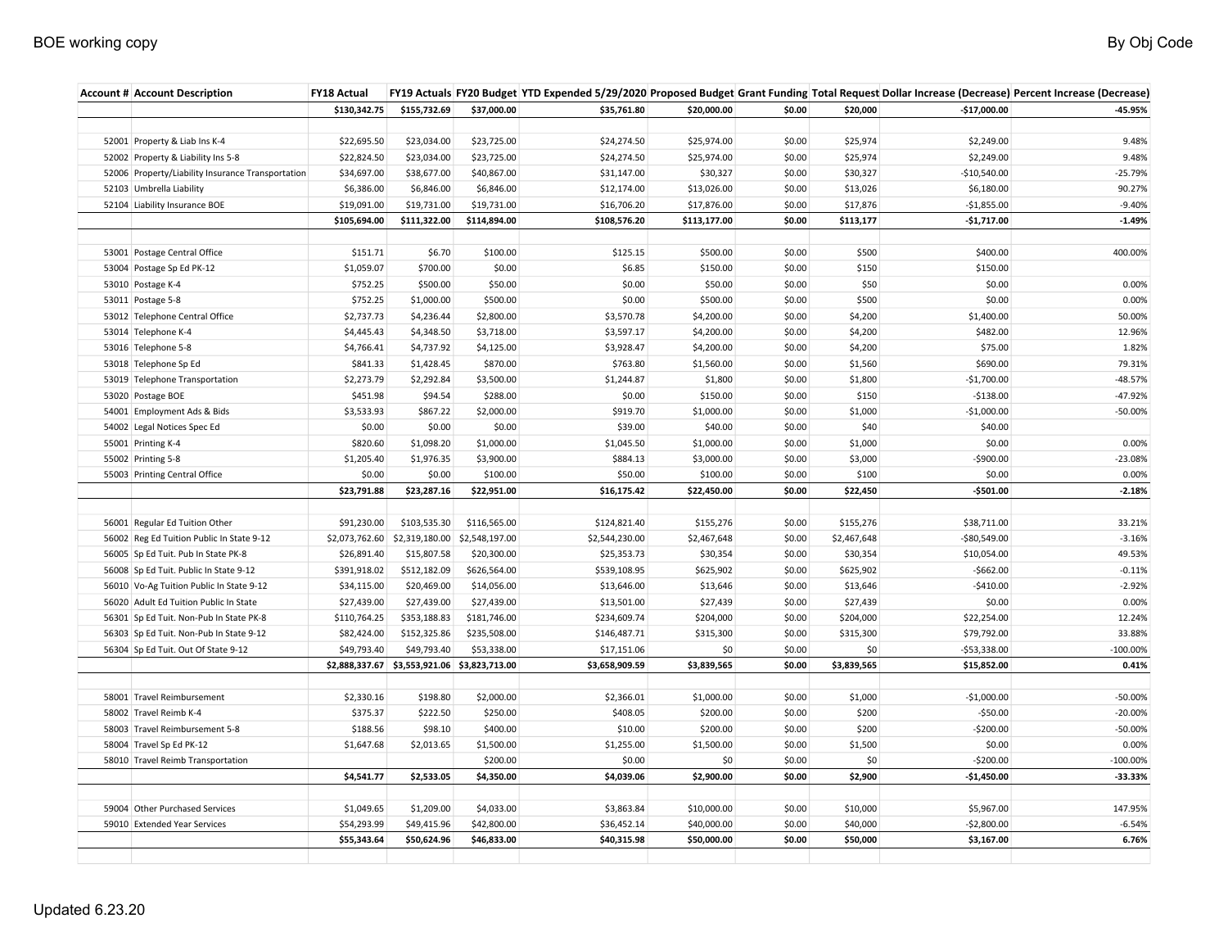| <b>Account # Account Description</b>              | <b>FY18 Actual</b> |                               |                |                |              |        |             |               | FY19 Actuals FY20 Budget YTD Expended 5/29/2020 Proposed Budget Grant Funding Total Request Dollar Increase (Decrease) Percent Increase (Decrease) |
|---------------------------------------------------|--------------------|-------------------------------|----------------|----------------|--------------|--------|-------------|---------------|----------------------------------------------------------------------------------------------------------------------------------------------------|
|                                                   | \$130,342.75       | \$155,732.69                  | \$37,000.00    | \$35,761.80    | \$20,000.00  | \$0.00 | \$20,000    | $-$17,000.00$ | -45.95%                                                                                                                                            |
|                                                   |                    |                               |                |                |              |        |             |               |                                                                                                                                                    |
| 52001 Property & Liab Ins K-4                     | \$22,695.50        | \$23,034.00                   | \$23,725.00    | \$24,274.50    | \$25,974.00  | \$0.00 | \$25,974    | \$2,249.00    | 9.48%                                                                                                                                              |
| 52002 Property & Liability Ins 5-8                | \$22,824.50        | \$23,034.00                   | \$23,725.00    | \$24,274.50    | \$25,974.00  | \$0.00 | \$25,974    | \$2,249.00    | 9.48%                                                                                                                                              |
| 52006 Property/Liability Insurance Transportation | \$34,697.00        | \$38,677.00                   | \$40,867.00    | \$31,147.00    | \$30,327     | \$0.00 | \$30,327    | $-$10,540.00$ | $-25.79%$                                                                                                                                          |
| 52103 Umbrella Liability                          | \$6,386.00         | \$6,846.00                    | \$6,846.00     | \$12,174.00    | \$13,026.00  | \$0.00 | \$13,026    | \$6,180.00    | 90.27%                                                                                                                                             |
| 52104 Liability Insurance BOE                     | \$19,091.00        | \$19,731.00                   | \$19,731.00    | \$16,706.20    | \$17,876.00  | \$0.00 | \$17,876    | $-$1,855.00$  | $-9.40%$                                                                                                                                           |
|                                                   | \$105,694.00       | \$111,322.00                  | \$114,894.00   | \$108,576.20   | \$113,177.00 | \$0.00 | \$113,177   | $-$1,717.00$  | $-1.49%$                                                                                                                                           |
|                                                   |                    |                               |                |                |              |        |             |               |                                                                                                                                                    |
| 53001 Postage Central Office                      | \$151.71           | \$6.70                        | \$100.00       | \$125.15       | \$500.00     | \$0.00 | \$500       | \$400.00      | 400.00%                                                                                                                                            |
| 53004 Postage Sp Ed PK-12                         | \$1,059.07         | \$700.00                      | \$0.00         | \$6.85         | \$150.00     | \$0.00 | \$150       | \$150.00      |                                                                                                                                                    |
| 53010 Postage K-4                                 | \$752.25           | \$500.00                      | \$50.00        | \$0.00         | \$50.00      | \$0.00 | \$50        | \$0.00        | 0.00%                                                                                                                                              |
| 53011 Postage 5-8                                 | \$752.25           | \$1,000.00                    | \$500.00       | \$0.00         | \$500.00     | \$0.00 | \$500       | \$0.00        | 0.00%                                                                                                                                              |
| 53012 Telephone Central Office                    | \$2,737.73         | \$4,236.44                    | \$2,800.00     | \$3,570.78     | \$4,200.00   | \$0.00 | \$4,200     | \$1,400.00    | 50.00%                                                                                                                                             |
| 53014 Telephone K-4                               | \$4,445.43         | \$4,348.50                    | \$3,718.00     | \$3,597.17     | \$4,200.00   | \$0.00 | \$4,200     | \$482.00      | 12.96%                                                                                                                                             |
| 53016 Telephone 5-8                               | \$4,766.41         | \$4,737.92                    | \$4,125.00     | \$3,928.47     | \$4,200.00   | \$0.00 | \$4,200     | \$75.00       | 1.82%                                                                                                                                              |
| 53018 Telephone Sp Ed                             | \$841.33           | \$1,428.45                    | \$870.00       | \$763.80       | \$1,560.00   | \$0.00 | \$1,560     | \$690.00      | 79.31%                                                                                                                                             |
| 53019 Telephone Transportation                    | \$2,273.79         | \$2,292.84                    | \$3,500.00     | \$1,244.87     | \$1,800      | \$0.00 | \$1,800     | $-$1,700.00$  | $-48.57%$                                                                                                                                          |
| 53020 Postage BOE                                 | \$451.98           | \$94.54                       | \$288.00       | \$0.00         | \$150.00     | \$0.00 | \$150       | $-$138.00$    | $-47.92%$                                                                                                                                          |
| 54001 Employment Ads & Bids                       | \$3,533.93         | \$867.22                      | \$2,000.00     | \$919.70       | \$1,000.00   | \$0.00 | \$1,000     | $-$1,000.00$  | -50.00%                                                                                                                                            |
| 54002 Legal Notices Spec Ed                       | \$0.00             | \$0.00                        | \$0.00         | \$39.00        | \$40.00      | \$0.00 | \$40        | \$40.00       |                                                                                                                                                    |
| 55001 Printing K-4                                | \$820.60           | \$1,098.20                    | \$1,000.00     | \$1,045.50     | \$1,000.00   | \$0.00 | \$1,000     | \$0.00        | 0.00%                                                                                                                                              |
| 55002 Printing 5-8                                | \$1,205.40         | \$1,976.35                    | \$3,900.00     | \$884.13       | \$3,000.00   | \$0.00 | \$3,000     | $-$900.00$    | $-23.08%$                                                                                                                                          |
| 55003 Printing Central Office                     | \$0.00             | \$0.00                        | \$100.00       | \$50.00        | \$100.00     | \$0.00 | \$100       | \$0.00        | 0.00%                                                                                                                                              |
|                                                   | \$23,791.88        | \$23,287.16                   | \$22,951.00    | \$16,175.42    | \$22,450.00  | \$0.00 | \$22,450    | $-$501.00$    | $-2.18%$                                                                                                                                           |
|                                                   |                    |                               |                |                |              |        |             |               |                                                                                                                                                    |
| 56001 Regular Ed Tuition Other                    | \$91,230.00        | \$103,535.30                  | \$116,565.00   | \$124,821.40   | \$155,276    | \$0.00 | \$155,276   | \$38,711.00   | 33.21%                                                                                                                                             |
| 56002 Reg Ed Tuition Public In State 9-12         | \$2,073,762.60     | \$2,319,180.00                | \$2,548,197.00 | \$2,544,230.00 | \$2,467,648  | \$0.00 | \$2,467,648 | $-$80,549.00$ | $-3.16%$                                                                                                                                           |
| 56005 Sp Ed Tuit. Pub In State PK-8               | \$26,891.40        | \$15,807.58                   | \$20,300.00    | \$25,353.73    | \$30,354     | \$0.00 | \$30,354    | \$10,054.00   | 49.53%                                                                                                                                             |
| 56008 Sp Ed Tuit. Public In State 9-12            | \$391,918.02       | \$512,182.09                  | \$626,564.00   | \$539,108.95   | \$625,902    | \$0.00 | \$625,902   | $-$662.00$    | $-0.11%$                                                                                                                                           |
| 56010 Vo-Ag Tuition Public In State 9-12          | \$34,115.00        | \$20,469.00                   | \$14,056.00    | \$13,646.00    | \$13,646     | \$0.00 | \$13,646    | $-$410.00$    | $-2.92%$                                                                                                                                           |
| 56020 Adult Ed Tuition Public In State            | \$27,439.00        | \$27,439.00                   | \$27,439.00    | \$13,501.00    | \$27,439     | \$0.00 | \$27,439    | \$0.00        | 0.00%                                                                                                                                              |
| 56301 Sp Ed Tuit. Non-Pub In State PK-8           | \$110,764.25       | \$353,188.83                  | \$181,746.00   | \$234,609.74   | \$204,000    | \$0.00 | \$204,000   | \$22,254.00   | 12.24%                                                                                                                                             |
| 56303 Sp Ed Tuit. Non-Pub In State 9-12           | \$82,424.00        | \$152,325.86                  | \$235,508.00   | \$146,487.71   | \$315,300    | \$0.00 | \$315,300   | \$79,792.00   | 33.88%                                                                                                                                             |
| 56304 Sp Ed Tuit. Out Of State 9-12               | \$49,793.40        | \$49,793.40                   | \$53,338.00    | \$17,151.06    | \$0          | \$0.00 | \$0         | $-$53,338.00$ | $-100.00\%$                                                                                                                                        |
|                                                   |                    | \$2,888,337.67 \$3,553,921.06 | \$3,823,713.00 | \$3,658,909.59 | \$3,839,565  | \$0.00 | \$3,839,565 | \$15,852.00   | 0.41%                                                                                                                                              |
|                                                   |                    |                               |                |                |              |        |             |               |                                                                                                                                                    |
| 58001 Travel Reimbursement                        | \$2,330.16         | \$198.80                      | \$2,000.00     | \$2,366.01     | \$1,000.00   | \$0.00 | \$1,000     | $-$1,000.00$  | $-50.00%$                                                                                                                                          |
| 58002 Travel Reimb K-4                            | \$375.37           | \$222.50                      | \$250.00       | \$408.05       | \$200.00     | \$0.00 | \$200       | $-$50.00$     | $-20.00%$                                                                                                                                          |
| 58003 Travel Reimbursement 5-8                    | \$188.56           | \$98.10                       | \$400.00       | \$10.00        | \$200.00     | \$0.00 | \$200       | $-$200.00$    | $-50.00%$                                                                                                                                          |
| 58004 Travel Sp Ed PK-12                          | \$1,647.68         | \$2,013.65                    | \$1,500.00     | \$1,255.00     | \$1,500.00   | \$0.00 | \$1,500     | \$0.00        | 0.00%                                                                                                                                              |
| 58010 Travel Reimb Transportation                 |                    |                               | \$200.00       | \$0.00         | \$0          | \$0.00 | \$0         | $-5200.00$    | $-100.00\%$                                                                                                                                        |
|                                                   | \$4,541.77         | \$2,533.05                    | \$4,350.00     | \$4,039.06     | \$2,900.00   | \$0.00 | \$2,900     | $-$1,450.00$  | $-33.33%$                                                                                                                                          |
|                                                   |                    |                               |                |                |              |        |             |               |                                                                                                                                                    |
| 59004 Other Purchased Services                    | \$1,049.65         | \$1,209.00                    | \$4,033.00     | \$3,863.84     | \$10,000.00  | \$0.00 | \$10,000    | \$5,967.00    | 147.95%                                                                                                                                            |
| 59010 Extended Year Services                      | \$54,293.99        | \$49,415.96                   | \$42,800.00    | \$36,452.14    | \$40,000.00  | \$0.00 | \$40,000    | $-52,800.00$  | $-6.54%$                                                                                                                                           |
|                                                   | \$55,343.64        | \$50,624.96                   | \$46,833.00    | \$40,315.98    | \$50,000.00  | \$0.00 | \$50,000    | \$3,167.00    | 6.76%                                                                                                                                              |
|                                                   |                    |                               |                |                |              |        |             |               |                                                                                                                                                    |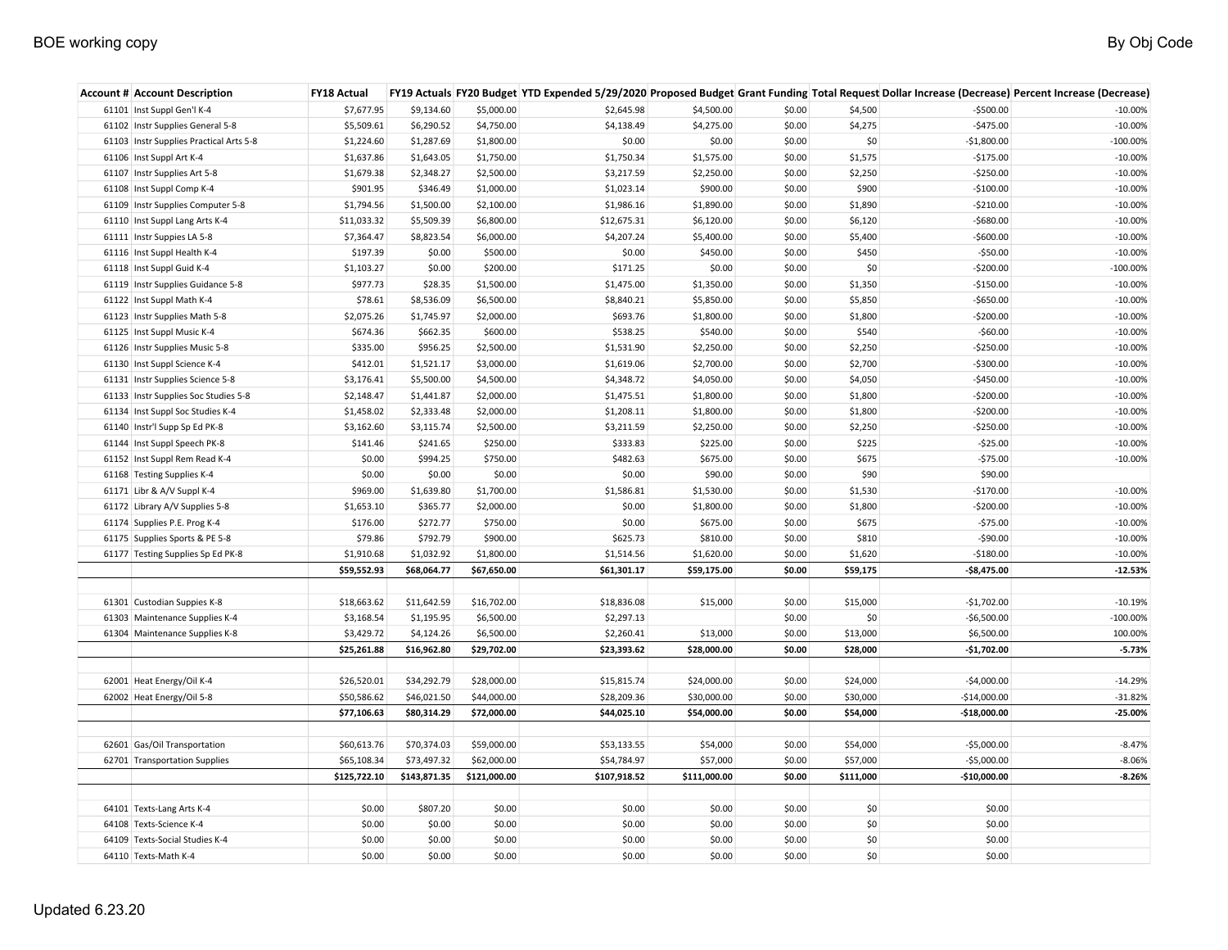## BOE working copy By Obj Code **By Obj Code**

| <b>Account # Account Description</b>    | FY18 Actual  |              |              |              |              |        |           |               | FY19 Actuals FY20 Budget YTD Expended 5/29/2020 Proposed Budget Grant Funding Total Request Dollar Increase (Decrease) Percent Increase (Decrease) |
|-----------------------------------------|--------------|--------------|--------------|--------------|--------------|--------|-----------|---------------|----------------------------------------------------------------------------------------------------------------------------------------------------|
| 61101 Inst Suppl Gen'l K-4              | \$7,677.95   | \$9,134.60   | \$5,000.00   | \$2,645.98   | \$4,500.00   | \$0.00 | \$4,500   | $-$500.00$    | $-10.00%$                                                                                                                                          |
| 61102 Instr Supplies General 5-8        | \$5,509.61   | \$6,290.52   | \$4,750.00   | \$4,138.49   | \$4,275.00   | \$0.00 | \$4,275   | $-$475.00$    | $-10.00%$                                                                                                                                          |
| 61103 Instr Supplies Practical Arts 5-8 | \$1,224.60   | \$1,287.69   | \$1,800.00   | \$0.00       | \$0.00       | \$0.00 | \$0       | $-$1,800.00$  | $-100.00\%$                                                                                                                                        |
| 61106 Inst Suppl Art K-4                | \$1,637.86   | \$1,643.05   | \$1,750.00   | \$1,750.34   | \$1,575.00   | \$0.00 | \$1,575   | $-$175.00$    | $-10.00%$                                                                                                                                          |
| 61107 Instr Supplies Art 5-8            | \$1,679.38   | \$2,348.27   | \$2,500.00   | \$3,217.59   | \$2,250.00   | \$0.00 | \$2,250   | $-$250.00$    | $-10.00%$                                                                                                                                          |
| 61108 Inst Suppl Comp K-4               | \$901.95     | \$346.49     | \$1,000.00   | \$1,023.14   | \$900.00     | \$0.00 | \$900     | $-$100.00$    | $-10.00%$                                                                                                                                          |
| 61109 Instr Supplies Computer 5-8       | \$1,794.56   | \$1,500.00   | \$2,100.00   | \$1,986.16   | \$1,890.00   | \$0.00 | \$1,890   | $-5210.00$    | $-10.00%$                                                                                                                                          |
| 61110 Inst Suppl Lang Arts K-4          | \$11,033.32  | \$5,509.39   | \$6,800.00   | \$12,675.31  | \$6,120.00   | \$0.00 | \$6,120   | $-$680.00$    | $-10.00%$                                                                                                                                          |
| 61111 Instr Suppies LA 5-8              | \$7,364.47   | \$8,823.54   | \$6,000.00   | \$4,207.24   | \$5,400.00   | \$0.00 | \$5,400   | $-$600.00$    | $-10.00%$                                                                                                                                          |
| 61116 Inst Suppl Health K-4             | \$197.39     | \$0.00       | \$500.00     | \$0.00       | \$450.00     | \$0.00 | \$450     | $-550.00$     | $-10.00%$                                                                                                                                          |
| 61118 Inst Suppl Guid K-4               | \$1,103.27   | \$0.00       | \$200.00     | \$171.25     | \$0.00       | \$0.00 | \$0       | $-$200.00$    | $-100.00\%$                                                                                                                                        |
| 61119 Instr Supplies Guidance 5-8       | \$977.73     | \$28.35      | \$1,500.00   | \$1,475.00   | \$1,350.00   | \$0.00 | \$1,350   | $-$150.00$    | $-10.00%$                                                                                                                                          |
| 61122 Inst Suppl Math K-4               | \$78.61      | \$8,536.09   | \$6,500.00   | \$8,840.21   | \$5,850.00   | \$0.00 | \$5,850   | $-$650.00$    | $-10.00%$                                                                                                                                          |
| 61123 Instr Supplies Math 5-8           | \$2,075.26   | \$1,745.97   | \$2,000.00   | \$693.76     | \$1,800.00   | \$0.00 | \$1,800   | $-$200.00$    | $-10.00%$                                                                                                                                          |
| 61125 Inst Suppl Music K-4              | \$674.36     | \$662.35     | \$600.00     | \$538.25     | \$540.00     | \$0.00 | \$540     | $-$60.00$     | $-10.00%$                                                                                                                                          |
| 61126 Instr Supplies Music 5-8          | \$335.00     | \$956.25     | \$2,500.00   | \$1,531.90   | \$2,250.00   | \$0.00 | \$2,250   | $-$250.00$    | $-10.00%$                                                                                                                                          |
| 61130 Inst Suppl Science K-4            | \$412.01     | \$1,521.17   | \$3,000.00   | \$1,619.06   | \$2,700.00   | \$0.00 | \$2,700   | $-$300.00$    | $-10.00%$                                                                                                                                          |
| 61131 Instr Supplies Science 5-8        | \$3,176.41   | \$5,500.00   | \$4,500.00   | \$4,348.72   | \$4,050.00   | \$0.00 | \$4,050   | $-$450.00$    | $-10.00%$                                                                                                                                          |
| 61133 Instr Supplies Soc Studies 5-8    | \$2,148.47   | \$1,441.87   | \$2,000.00   | \$1,475.51   | \$1,800.00   | \$0.00 | \$1,800   | $-$200.00$    | $-10.00%$                                                                                                                                          |
| 61134 Inst Suppl Soc Studies K-4        | \$1,458.02   | \$2,333.48   | \$2,000.00   | \$1,208.11   | \$1,800.00   | \$0.00 | \$1,800   | $-$200.00$    | $-10.00%$                                                                                                                                          |
| 61140 Instr'l Supp Sp Ed PK-8           | \$3,162.60   | \$3,115.74   | \$2,500.00   | \$3,211.59   | \$2,250.00   | \$0.00 | \$2,250   | $-$250.00$    | $-10.00%$                                                                                                                                          |
| 61144 Inst Suppl Speech PK-8            | \$141.46     | \$241.65     | \$250.00     | \$333.83     | \$225.00     | \$0.00 | \$225     | $-525.00$     | $-10.00%$                                                                                                                                          |
| 61152 Inst Suppl Rem Read K-4           | \$0.00       | \$994.25     | \$750.00     | \$482.63     | \$675.00     | \$0.00 | \$675     | $-575.00$     | $-10.00%$                                                                                                                                          |
| 61168 Testing Supplies K-4              | \$0.00       | \$0.00       | \$0.00       | \$0.00       | \$90.00      | \$0.00 | \$90      | \$90.00       |                                                                                                                                                    |
| 61171 Libr & A/V Suppl K-4              | \$969.00     | \$1,639.80   | \$1,700.00   | \$1,586.81   | \$1,530.00   | \$0.00 | \$1,530   | $-$170.00$    | $-10.00%$                                                                                                                                          |
| 61172 Library A/V Supplies 5-8          | \$1,653.10   | \$365.77     | \$2,000.00   | \$0.00       | \$1,800.00   | \$0.00 | \$1,800   | $-$200.00$    | $-10.00%$                                                                                                                                          |
| 61174 Supplies P.E. Prog K-4            | \$176.00     | \$272.77     | \$750.00     | \$0.00       | \$675.00     | \$0.00 | \$675     | $-575.00$     | $-10.00%$                                                                                                                                          |
| 61175 Supplies Sports & PE 5-8          | \$79.86      | \$792.79     | \$900.00     | \$625.73     | \$810.00     | \$0.00 | \$810     | $-590.00$     | $-10.00%$                                                                                                                                          |
| 61177 Testing Supplies Sp Ed PK-8       | \$1,910.68   | \$1,032.92   | \$1,800.00   | \$1,514.56   | \$1,620.00   | \$0.00 | \$1,620   | $-5180.00$    | $-10.00%$                                                                                                                                          |
|                                         | \$59,552.93  | \$68,064.77  | \$67,650.00  | \$61,301.17  | \$59,175.00  | \$0.00 | \$59,175  | $-$8,475.00$  | $-12.53%$                                                                                                                                          |
|                                         |              |              |              |              |              |        |           |               |                                                                                                                                                    |
| 61301 Custodian Suppies K-8             | \$18,663.62  | \$11,642.59  | \$16,702.00  | \$18,836.08  | \$15,000     | \$0.00 | \$15,000  | $-$1,702.00$  | $-10.19%$                                                                                                                                          |
| 61303 Maintenance Supplies K-4          | \$3,168.54   | \$1,195.95   | \$6,500.00   | \$2,297.13   |              | \$0.00 | \$0       | $-$6,500.00$  | $-100.00\%$                                                                                                                                        |
| 61304 Maintenance Supplies K-8          | \$3,429.72   | \$4,124.26   | \$6,500.00   | \$2,260.41   | \$13,000     | \$0.00 | \$13,000  | \$6,500.00    | 100.00%                                                                                                                                            |
|                                         | \$25,261.88  | \$16,962.80  | \$29,702.00  | \$23,393.62  | \$28,000.00  | \$0.00 | \$28,000  | $-$1,702.00$  | $-5.73%$                                                                                                                                           |
|                                         |              |              |              |              |              |        |           |               |                                                                                                                                                    |
| 62001 Heat Energy/Oil K-4               | \$26,520.01  | \$34,292.79  | \$28,000.00  | \$15,815.74  | \$24,000.00  | \$0.00 | \$24,000  | $-$4,000.00$  | $-14.29%$                                                                                                                                          |
| 62002 Heat Energy/Oil 5-8               | \$50,586.62  | \$46,021.50  | \$44,000.00  | \$28,209.36  | \$30,000.00  | \$0.00 | \$30,000  | $-$14,000.00$ | $-31.82%$                                                                                                                                          |
|                                         | \$77,106.63  | \$80,314.29  | \$72,000.00  | \$44,025.10  | \$54,000.00  | \$0.00 | \$54,000  | $-$18,000.00$ | $-25.00%$                                                                                                                                          |
|                                         |              |              |              |              |              |        |           |               |                                                                                                                                                    |
| 62601 Gas/Oil Transportation            | \$60,613.76  | \$70,374.03  | \$59,000.00  | \$53,133.55  | \$54,000     | \$0.00 | \$54,000  | $-$5,000.00$  | $-8.47%$                                                                                                                                           |
| 62701 Transportation Supplies           | \$65,108.34  | \$73,497.32  | \$62,000.00  | \$54,784.97  | \$57,000     | \$0.00 | \$57,000  | $-$5,000.00$  | $-8.06%$                                                                                                                                           |
|                                         | \$125,722.10 | \$143,871.35 | \$121,000.00 | \$107,918.52 | \$111,000.00 | \$0.00 | \$111,000 | $-$10,000.00$ | $-8.26%$                                                                                                                                           |
|                                         |              |              |              |              |              |        |           |               |                                                                                                                                                    |
| 64101 Texts-Lang Arts K-4               | \$0.00       | \$807.20     | \$0.00       | \$0.00       | \$0.00       | \$0.00 | \$0       | \$0.00        |                                                                                                                                                    |
| 64108 Texts-Science K-4                 | \$0.00       | \$0.00       | \$0.00       | \$0.00       | \$0.00       | \$0.00 | \$0       | \$0.00        |                                                                                                                                                    |
| 64109 Texts-Social Studies K-4          | \$0.00       | \$0.00       | \$0.00       | \$0.00       | \$0.00       | \$0.00 | \$0       | \$0.00        |                                                                                                                                                    |
| 64110 Texts-Math K-4                    | \$0.00       | \$0.00       | \$0.00       | \$0.00       | \$0.00       | \$0.00 | \$0       | \$0.00        |                                                                                                                                                    |